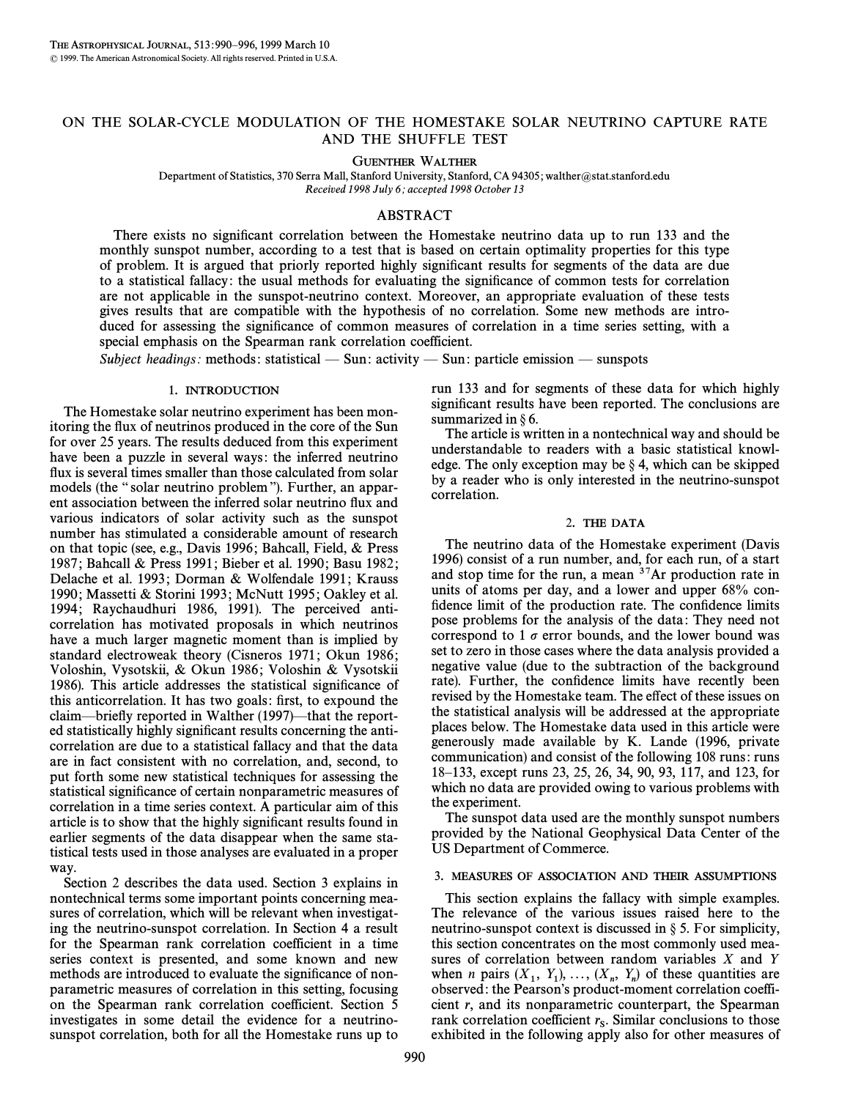# ON THE SOLAR-CYCLE MODULATION OF THE HOMESTAKE SOLAR NEUTRINO CAPTURE RATE AND THE SHUFFLE TEST

GUENTHER WALTHER

Department of Statistics, 370 Serra Mall, Stanford University, Stanford, CA 94305; walther@stat.stanford.edu Received 1998 July 6; accepted 1998 October 13

## ABSTRACT

There exists no significant correlation between the Homestake neutrino data up to run 133 and the monthly sunspot number, according to a test that is based on certain optimality properties for this type of problem. It is argued that priorly reported highly significant results for segments of the data are due to a statistical fallacy: the usual methods for evaluating the significance of common tests for correlation are not applicable in the sunspot-neutrino context. Moreover, an appropriate evaluation of these tests gives results that are compatible with the hypothesis of no correlation. Some new methods are introduced for assessing the significance of common measures of correlation in a time series setting, with a special emphasis on the Spearman rank correlation coefficient.

Subject headings: methods: statistical — Sun: activity — Sun: particle emission — sunspots

#### 1. INTRODUCTION

The Homestake solar neutrino experiment has been monitoring the flux of neutrinos produced in the core of the Sun for over 25 years. The results deduced from this experiment have been a puzzle in several ways: the inferred neutrino flux is several times smaller than those calculated from solar models (the "solar neutrino problem"). Further, an apparent association between the inferred solar neutrino flux and various indicators of solar activity such as the sunspot number has stimulated a considerable amount of research on that topic (see, e.g., Davis 1996 ; Bahcall, Field, & Press 1987; Bahcall & Press 1991; Bieber et al. 1990; Basu 1982; Delache et al. 1993; Dorman & Wolfendale 1991; Krauss 1990; Massetti & Storini 1993; McNutt 1995; Oakley et al. 1994; Raychaudhuri 1986, 1991). The perceived anticorrelation has motivated proposals in which neutrinos have a much larger magnetic moment than is implied by standard electroweak theory (Cisneros 1971; Okun 1986; Voloshin, Vysotskii, & Okun 1986; Voloshin & Vysotskii 1986). This article addresses the statistical significance of this anticorrelation. It has two goals: first, to expound the claim—briefly reported in Walther (1997)—that the reported statistically highly significant results concerning the anticorrelation are due to a statistical fallacy and that the data are in fact consistent with no correlation, and, second, to put forth some new statistical techniques for assessing the statistical significance of certain nonparametric measures of correlation in a time series context. A particular aim of this article is to show that the highly significant results found in earlier segments of the data disappear when the same statistical tests used in those analyses are evaluated in a proper way.

Section 2 describes the data used. Section 3 explains in nontechnical terms some important points concerning measures of correlation, which will be relevant when investigating the neutrino-sunspot correlation. In Section 4 a result for the Spearman rank correlation coefficient in a time series context is presented, and some known and new methods are introduced to evaluate the significance of nonparametric measures of correlation in this setting, focusing on the Spearman rank correlation coefficient. Section 5 investigates in some detail the evidence for a neutrinosunspot correlation, both for all the Homestake runs up to run 133 and for segments of these data for which highly significant results have been reported. The conclusions are summarized in  $\S$  6.

The article is written in a nontechnical way and should be understandable to readers with a basic statistical knowledge. The only exception may be  $\S$  4, which can be skipped by a reader who is only interested in the neutrino-sunspot correlation.

#### 2. THE DATA

The neutrino data of the Homestake experiment (Davis 1996) consist of a run number, and, for each run, of a start and stop time for the run, a mean  $37$ Ar production rate in units of atoms per day, and a lower and upper 68% confidence limit of the production rate. The confidence limits pose problems for the analysis of the data : They need not correspond to 1  $\sigma$  error bounds, and the lower bound was set to zero in those cases where the data analysis provided a negative value (due to the subtraction of the background rate). Further, the confidence limits have recently been revised by the Homestake team. The effect of these issues on the statistical analysis will be addressed at the appropriate places below. The Homestake data used in this article were generously made available by K. Lande (1996, private communication) and consist of the following 108 runs : runs 18È133, except runs 23, 25, 26, 34, 90, 93, 117, and 123, for which no data are provided owing to various problems with the experiment.

The sunspot data used are the monthly sunspot numbers provided by the National Geophysical Data Center of the US Department of Commerce.

### 3. MEASURES OF ASSOCIATION AND THEIR ASSUMPTIONS

This section explains the fallacy with simple examples. The relevance of the various issues raised here to the neutrino-sunspot context is discussed in  $\S$  5. For simplicity, this section concentrates on the most commonly used measures of correlation between random variables X and Y when *n* pairs  $(X_1, Y_1), \ldots, (X_n, Y_n)$  of these quantities are observed; the Pearson's product-moment correlation coeffiwhen  $n$  pairs  $(x_1, x_1), \ldots, (x_n, x_n)$  or these quantities are observed: the Pearson's product-moment correlation coefficient r, and its nonparametric counterpart, the Spearman rank correlation coefficient  $r_s$ . Similar conclusions to those  $\frac{1}{2}$  exhibited in the following apply also for other measures of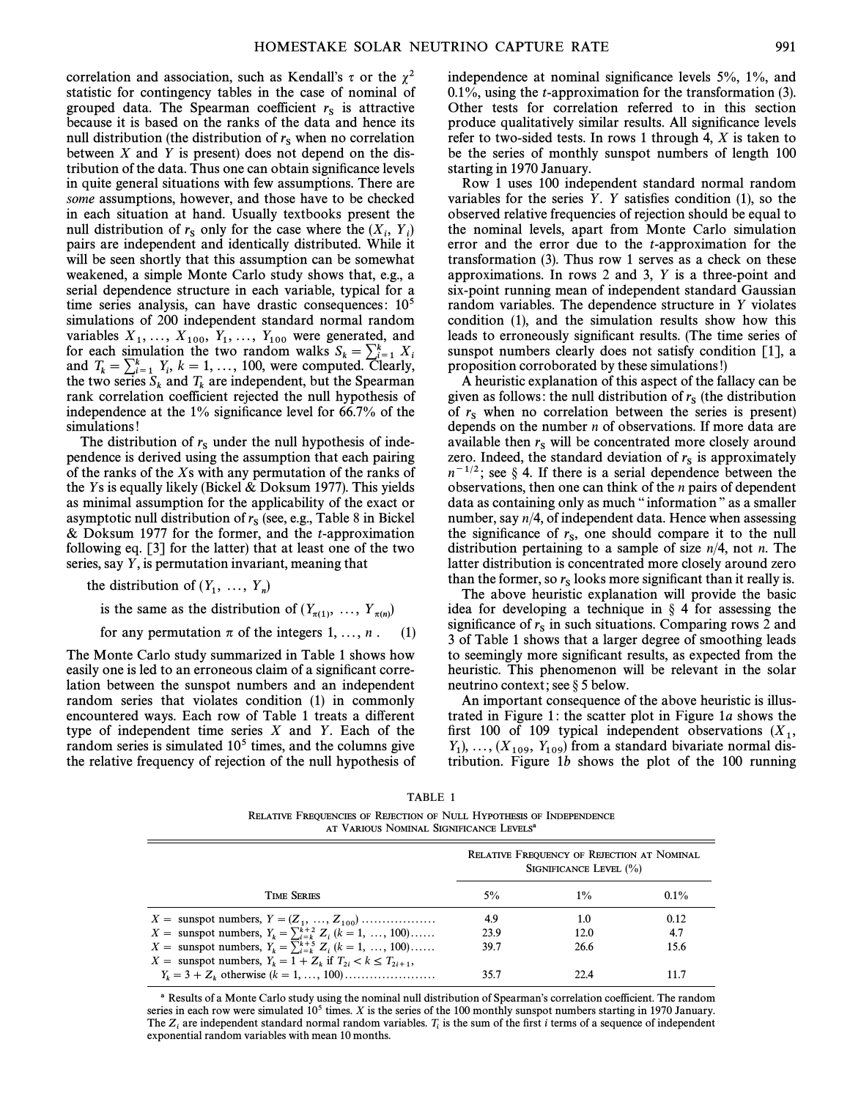correlation and association, such as Kendall's  $\tau$  or the  $\chi^2$ statistic for contingency tables in the case of nominal of grouped data. The Spearman coefficient  $r_s$  is attractive because it is based on the ranks of the data and hence its null distribution (the distribution of  $r<sub>s</sub>$  when no correlation between  $X$  and  $Y$  is present) does not depend on the distribution of the data. Thus one can obtain significance levels in quite general situations with few assumptions. There are some assumptions, however, and those have to be checked in each situation at hand. Usually textbooks present the null distribution of  $r_s$  only for the case where the  $(X_i, Y_i)$ <br>noirs are independent and identically distributed. While it pairs are independent and identically distributed. While it will be seen shortly that this assumption can be somewhat weakened, a simple Monte Carlo study shows that, e.g., a serial dependence structure in each variable, typical for a time series analysis, can have drastic consequences:  $10<sup>5</sup>$ simulations of 200 independent standard normal random variables  $X_1, ..., X_{100}$ ,  $Y_1, ..., Y_{100}$  were generated, and  $Y_1, ..., Y_{100}$  were  $Y_2, ..., Y_n$ For each simulation the two random walks  $S_k = \sum_{i=1}^k X_i$ <br>and  $T_k = \sum_{i=1}^k Y_i$ ,  $k = 1, ..., 100$ , were computed. Clearly, the two series  $S_k$  and  $T_k$  are independent, but the Spearman rank correlation coefficient rejected the null hypothesis of rank correlation coefficient rejected the null hypothesis of independence at the  $1\%$  significance level for 66.7% of the simulations!

The distribution of  $r_s$  under the null hypothesis of independence is derived using the assumption that each pairing of the ranks of the Xs with any permutation of the ranks of the Ys is equally likely (Bickel  $&$  Doksum 1977). This yields as minimal assumption for the applicability of the exact or asymptotic null distribution of  $r_s$  (see, e.g., Table 8 in Bickel & Doksum 1977 for the former, and the  $t$ -approximation following eq. [3] for the latter) that at least one of the two series, say Y, is permutation invariant, meaning that

the distribution of  $(Y_1, ..., Y_n)$ 

is the same as the distribution of  $(Y_{\pi(1)}, \ldots, Y_{\pi(n)})$ 

for any permutation  $\pi$  of the integers 1, ..., n. (1)

The Monte Carlo study summarized in Table 1 shows how easily one is led to an erroneous claim of a significant correlation between the sunspot numbers and an independent random series that violates condition (1) in commonly encountered ways. Each row of Table 1 treats a different type of independent time series  $X$  and  $Y$ . Each of the random series is simulated  $10<sup>5</sup>$  times, and the columns give the relative frequency of rejection of the null hypothesis of independence at nominal significance levels  $5\%$ ,  $1\%$ , and  $0.1\%$ , using the *t*-approximation for the transformation (3). Other tests for correlation referred to in this section produce qualitatively similar results. All significance levels refer to two-sided tests. In rows 1 through 4,  $X$  is taken to be the series of monthly sunspot numbers of length 100 starting in 1970 January.

Row 1 uses 100 independent standard normal random variables for the series  $Y$ .  $Y$  satisfies condition (1), so the observed relative frequencies of rejection should be equal to the nominal levels, apart from Monte Carlo simulation error and the error due to the t-approximation for the transformation (3). Thus row 1 serves as a check on these approximations. In rows 2 and 3, Y is a three-point and six-point running mean of independent standard Gaussian random variables. The dependence structure in Y violates condition (1), and the simulation results show how this leads to erroneously significant results. (The time series of sunspot numbers clearly does not satisfy condition [1], a proposition corroborated by these simulations!)

A heuristic explanation of this aspect of the fallacy can be given as follows: the null distribution of  $r<sub>s</sub>$  (the distribution of  $r_s$  when no correlation between the series is present) depends on the number  $n$  of observations. If more data are available then  $r_s$  will be concentrated more closely around zero. Indeed, the standard deviation of  $r<sub>s</sub>$  is approximately  $n^{-1/2}$ ; see § 4. If there is a serial dependence between the observations, then one can think of the n pairs of dependent data as containing only as much "information" as a smaller number, say n/4, of independent data. Hence when assessing the significance of  $r_s$ , one should compare it to the null distribution pertaining to a sample of size  $n/4$ , not *n*. The latter distribution is concentrated more closely around zero than the former, so  $r_s$  looks more significant than it really is.

The above heuristic explanation will provide the basic idea for developing a technique in  $\S$  4 for assessing the significance of  $r_s$  in such situations. Comparing rows 2 and <sup>S</sup> 3 of Table 1 shows that a larger degree of smoothing leads to seemingly more significant results, as expected from the heuristic. This phenomenon will be relevant in the solar neutrino context; see  $\S$  5 below.

An important consequence of the above heuristic is illustrated in Figure 1: the scatter plot in Figure 1a shows the first 100 of 109 typical independent observations  $(X_1, Y)$  ( $(Y = Y)$ ) from a standard bivariate normal dis- $Y_1$ , ...,  $(X_{109}, Y_{109})$  from a standard bivariate normal distribution. Figure 1b shows the plot of the 100 running tribution. Figure 1b shows the plot of the 100 running

RELATIVE FREQUENCIES OF REJECTION OF NULL HYPOTHESIS OF INDEPENDENCE AT VARIOUS NOMINAL SIGNIFICANCE LEVELS<sup>8</sup>

|                                                                        | RELATIVE FREQUENCY OF REJECTION AT NOMINAL<br>SIGNIFICANCE LEVEL $(\% )$ |       |         |
|------------------------------------------------------------------------|--------------------------------------------------------------------------|-------|---------|
| <b>TIME SERIES</b>                                                     | $5\%$                                                                    | $1\%$ | $0.1\%$ |
| $X =$ sunspot numbers, $Y = (Z_1, , Z_{100})$                          | 4.9                                                                      | 1.0   | 0.12    |
| $X =$ sunspot numbers, $Y_k = \sum_{i=k}^{k+2} Z_i$ ( $k = 1, , 100$ ) | 23.9                                                                     | 12.0  | 4.7     |
| $X =$ sunspot numbers, $Y_k = \sum_{i=k}^{k+5} Z_i$ ( $k = 1, , 100$ ) | 39.7                                                                     | 26.6  | 15.6    |
| $X =$ sunspot numbers, $Y_k = 1 + Z_k$ if $T_{2i} < k \leq T_{2i+1}$ , |                                                                          |       |         |
|                                                                        | 35.7                                                                     |       | 11.7    |

a Results of a Monte Carlo study using the nominal null distribution of Spearman's correlation coefficient. The random series in each row were simulated  $10<sup>5</sup>$  times. X is the series of the 100 monthly sunspot numbers starting in 1970 January. The  $Z_i$  are independent standard normal random variables.  $T_i$  is the sum of the first *i* terms of a sequence of independent exponential random variables with mean 10 months.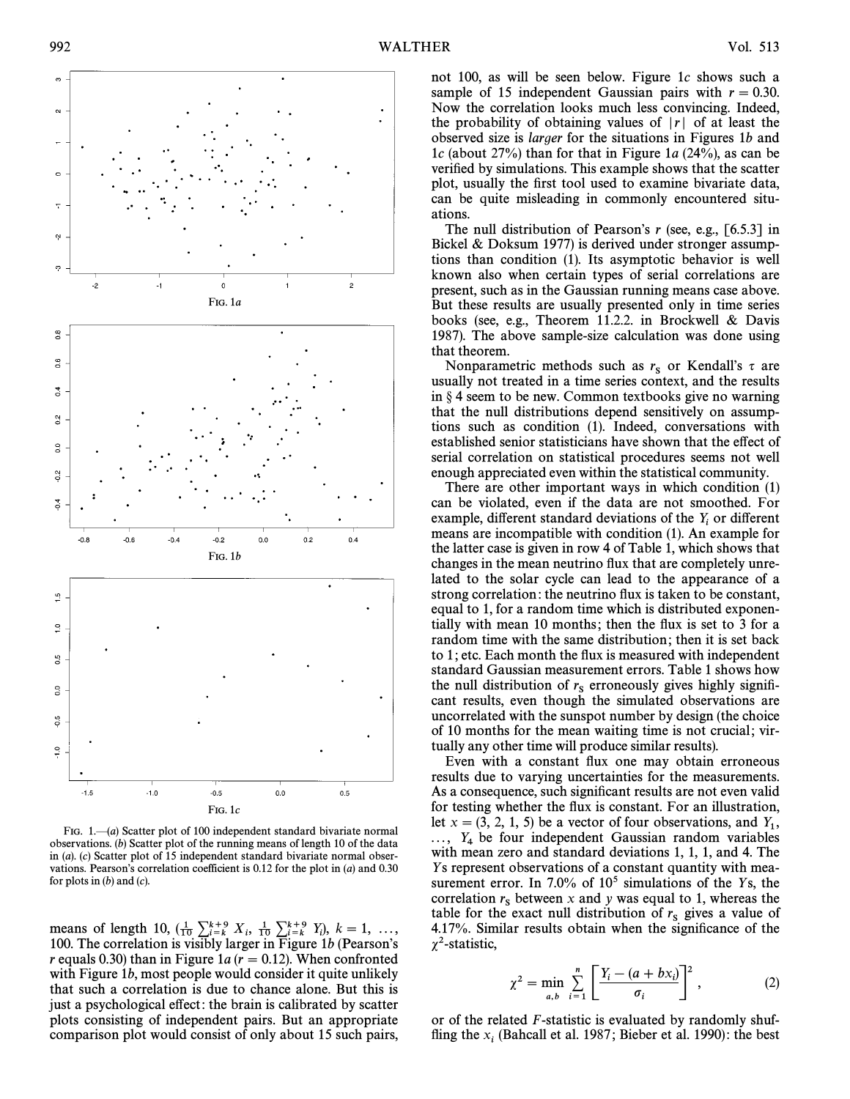

FIG. 1. $\Box(a)$  Scatter plot of 100 independent standard bivariate normal observations. (b) Scatter plot of the running means of length 10 of the data in (a). (c) Scatter plot of 15 independent standard bivariate normal observations. Pearson's correlation coefficient is  $0.12$  for the plot in (a) and  $0.30$ for plots in  $(b)$  and  $(c)$ .

means of length 10,  $(\frac{1}{10} \sum_{i=k}^{k+9} X_i, \frac{1}{10} \sum_{i=k}^{k+9} Y_i)$ ,  $k = 1, ...,$ <br>100 The correlation is visibly larger in Figure 1b (Pearson's 100. The correlation is visibly larger in Figure 1b (Pearson's r equals 0.30) than in Figure 1a ( $r = 0.12$ ). When confronted with Figure 1*b*, most people would consider it quite unlikely that such a correlation is due to chance alone. But this is just a psychological effect: the brain is calibrated by scatter plots consisting of independent pairs. But an appropriate comparison plot would consist of only about 15 such pairs,

not 100, as will be seen below. Figure 1c shows such a sample of 15 independent Gaussian pairs with  $r = 0.30$ . Now the correlation looks much less convincing. Indeed, the probability of obtaining values of  $|r|$  of at least the observed size is larger for the situations in Figures 1b and 1c (about 27%) than for that in Figure 1a  $(24\%)$ , as can be verified by simulations. This example shows that the scatter plot, usually the first tool used to examine bivariate data, can be quite misleading in commonly encountered situations.

The null distribution of Pearson's  $r$  (see, e.g., [6.5.3] in Bickel & Doksum 1977) is derived under stronger assumptions than condition (1). Its asymptotic behavior is well known also when certain types of serial correlations are present, such as in the Gaussian running means case above. But these results are usually presented only in time series books (see, e.g., Theorem 11.2.2. in Brockwell & Davis 1987). The above sample-size calculation was done using that theorem.

Nonparametric methods such as  $r_s$  or Kendall's  $\tau$  are usually not treated in a time series context, and the results in  $\S 4$  seem to be new. Common textbooks give no warning that the null distributions depend sensitively on assumptions such as condition (1). Indeed, conversations with established senior statisticians have shown that the effect of serial correlation on statistical procedures seems not well enough appreciated even within the statistical community.

There are other important ways in which condition (1) can be violated, even if the data are not smoothed. For example, different standard deviations of the  $Y_i$  or different means are incompatible with condition  $(1)$ . An example for the latter case is given in row 4 of Table 1, which shows that changes in the mean neutrino flux that are completely unrelated to the solar cycle can lead to the appearance of a strong correlation: the neutrino flux is taken to be constant, equal to 1, for a random time which is distributed exponentially with mean 10 months; then the flux is set to 3 for a random time with the same distribution; then it is set back to 1; etc. Each month the flux is measured with independent standard Gaussian measurement errors. Table 1 shows how the null distribution of  $r_s$  erroneously gives highly significant results, even though the simulated observations are uncorrelated with the sunspot number by design (the choice of 10 months for the mean waiting time is not crucial; virtually any other time will produce similar results).

Even with a constant flux one may obtain erroneous results due to varying uncertainties for the measurements. As a consequence, such significant results are not even valid for testing whether the flux is constant. For an illustration, let  $x = (3, 2, 1, 5)$  be a vector of four observations, and  $Y_1$ ,  $\ldots$ ,  $Y_4$  be four independent Gaussian random variables with mean zero and standard deviations 1, 1, 1, and 4. The Ys represent observations of a constant quantity with measurement error. In 7.0% of  $10<sup>5</sup>$  simulations of the Ys, the correlation  $r_s$  between x and y was equal to 1, whereas the table for the exact null distribution of  $r_s$  gives a value of 4.17%. Similar results obtain when the significance of the  $\chi^2$ -statistic,

$$
\chi^{2} = \min_{a,b} \sum_{i=1}^{n} \left[ \frac{Y_{i} - (a + bx_{i})}{\sigma_{i}} \right]^{2}, \qquad (2)
$$

or of the related F-statistic is evaluated by randomly shuffling the  $x_i$  (Bahcall et al. 1987; Bieber et al. 1990): the best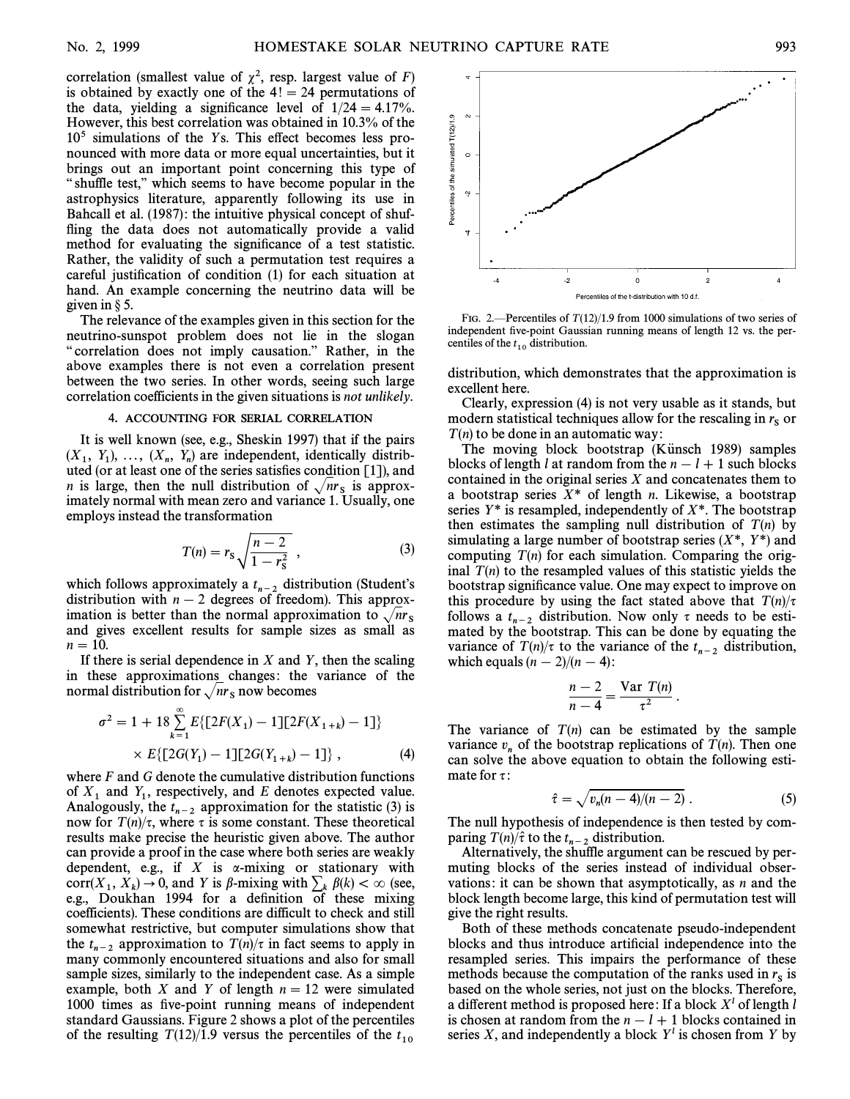correlation (smallest value of  $\chi^2$ , resp. largest value of F) is obtained by exactly one of the  $4! = 24$  permutations of the data, yielding a significance level of  $1/24 = 4.17\%$ . However, this best correlation was obtained in 10.3% of the  $10<sup>5</sup>$  simulations of the Ys. This effect becomes less pronounced with more data or more equal uncertainties, but it brings out an important point concerning this type of " shuffle test," which seems to have become popular in the astrophysics literature, apparently following its use in Bahcall et al. (1987): the intuitive physical concept of shuffling the data does not automatically provide a valid method for evaluating the significance of a test statistic. Rather, the validity of such a permutation test requires a careful justification of condition (1) for each situation at hand. An example concerning the neutrino data will be given in  $\S$  5.

The relevance of the examples given in this section for the neutrino-sunspot problem does not lie in the slogan " correlation does not imply causation." Rather, in the above examples there is not even a correlation present between the two series. In other words, seeing such large correlation coefficients in the given situations is not unlikely.

### 4. ACCOUNTING FOR SERIAL CORRELATION

It is well known (see, e.g., Sheskin 1997) that if the pairs  $(X_1, Y_1), \ldots, (X_n, Y_n)$  are independent, identically distributed (or at least one of the series satisfies condition [1]) and  $\alpha_1, \alpha_2, \ldots, \alpha_n, \alpha_n$  are mate personal, resolution [1]), and uted (or at least one of the series satisfies condition [1]), and *n* is large, then the null distribution of  $\sqrt{nr_s}$  is approx-<br>imately normal with mean zero and variance 1. Usually, one employs instead the transformation

$$
T(n) = r_{\rm s} \sqrt{\frac{n-2}{1 - r_{\rm s}^2}} \,, \tag{3}
$$

which follows approximately a  $t_{n-2}$  distribution (Student's distribution with  $n - 2$  degrees of freedom). This approximation is better than the normal approximation to  $\sqrt{n_S}$  and gives excellent results for sample sizes as small as  $n = 10$ .

If there is serial dependence in  $X$  and  $Y$ , then the scaling in these approximations changes: the variance of the normal distribution for  $\sqrt{nr_s}$  now becomes

$$
\sigma^2 = 1 + 18 \sum_{k=1}^{\infty} E\{ [2F(X_1) - 1][2F(X_{1+k}) - 1] \}
$$
  
×  $E\{ [2G(Y_1) - 1][2G(Y_{1+k}) - 1] \},$  (4)

where  $F$  and  $G$  denote the cumulative distribution functions of  $X_1$  and  $Y_1$ , respectively, and E denotes expected value. Analogously, the  $t_{n-2}$  approximation for the statistic (3) is now for  $T(n)/\tau$ , where  $\tau$  is some constant. These theoretical results make precise the heuristic given above. The author can provide a proof in the case where both series are weakly dependent, e.g., if  $X$  is  $\alpha$ -mixing or stationary with corr( $X_1, X_k$ )  $\rightarrow$  0, and Y is  $\beta$ -mixing with  $\sum_k \beta(k) < \infty$  (see, e.g., Doukhan 1994 for a definition of these mixing coefficients). These conditions are difficult to check and still somewhat restrictive, but computer simulations show that the  $t_{n-2}$  approximation to  $T(n)/\tau$  in fact seems to apply in many commonly encountered situations and also for small sample sizes, similarly to the independent case. As a simple example, both X and Y of length  $n = 12$  were simulated 1000 times as five-point running means of independent standard Gaussians. Figure 2 shows a plot of the percentiles of the resulting  $T(12)/1.9$  versus the percentiles of the  $t_{10}$ 



FIG. 2.—Percentiles of  $T (12)/1.9$  from 1000 simulations of two series of independent five-point Gaussian running means of length 12 vs. the percentiles of the  $t_{10}$  distribution.

distribution, which demonstrates that the approximation is excellent here.

Clearly, expression (4) is not very usable as it stands, but modern statistical techniques allow for the rescaling in  $r<sub>s</sub>$  or  $T(n)$  to be done in an automatic way:

The moving block bootstrap (Künsch 1989) samples blocks of length l at random from the  $n - l + 1$  such blocks contained in the original series  $X$  and concatenates them to a bootstrap series  $X^*$  of length *n*. Likewise, a bootstrap series  $Y^*$  is resampled, independently of  $X^*$ . The bootstrap then estimates the sampling null distribution of  $T(n)$  by simulating a large number of bootstrap series  $(X^*, Y^*)$  and computing  $T(n)$  for each simulation. Comparing the original  $T(n)$  to the resampled values of this statistic yields the bootstrap significance value. One may expect to improve on this procedure by using the fact stated above that  $T(n)/\tau$ follows a  $t_{n-2}$  distribution. Now only  $\tau$  needs to be esti- mated by the bootstrap. This can be done by equating the variance of  $T(n)/\tau$  to the variance of the  $t_{n-2}$  distribution, which equals  $(n - 2)/(n - 4)$ :

$$
\frac{n-2}{n-4} = \frac{\text{Var } T(n)}{\tau^2}.
$$

The variance of  $T(n)$  can be estimated by the sample variance  $v_n$  of the bootstrap replications of  $T(n)$ . Then one can solve the above equation to obtain the following estimate for  $\tau$ :

$$
\hat{\tau} = \sqrt{v_n(n-4)/(n-2)}\ . \tag{5}
$$

The null hypothesis of independence is then tested by comparing  $T(n)/\hat{\tau}$  to the  $t_{n-2}$  distribution.

Alternatively, the shuffle argument can be rescued by permuting blocks of the series instead of individual observations: it can be shown that asymptotically, as  $n$  and the block length become large, this kind of permutation test will give the right results.

Both of these methods concatenate pseudo-independent blocks and thus introduce artificial independence into the resampled series. This impairs the performance of these methods because the computation of the ranks used in  $r_s$  is based on the whole series, not just on the blocks. Therefore, a different method is proposed here: If a block  $X<sup>l</sup>$  of length l is chosen at random from the  $n - l + 1$  blocks contained in series X, and independently a block  $Y<sup>l</sup>$  is chosen from Y by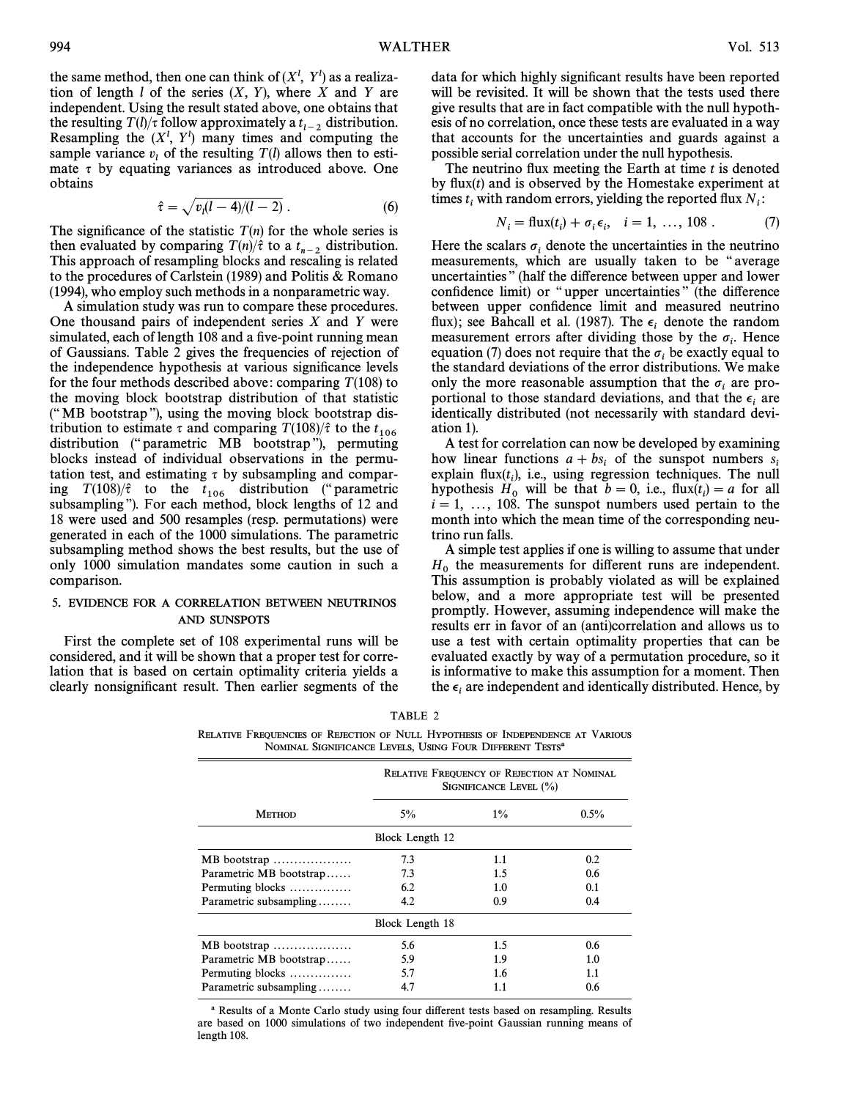the same method, then one can think of  $(X^l, Y^l)$  as a realization of length  $l$  of the series  $(X, Y)$ , where  $X$  and  $Y$  are independent. Using the result stated above, one obtains that the resulting  $T(l)/\tau$  follow approximately a  $t_{l-2}$  distribution. Resampling the  $(X^l, Y^l)$  many times and computing the sample variance  $v_l$  of the resulting  $T(l)$  allows then to esti-<br>mate  $\tau$  by equating variances as introduced above. One obtains

$$
\hat{\tau} = \sqrt{v_l(l-4)/(l-2)}\,.
$$
 (6)

The significance of the statistic  $T(n)$  for the whole series is then evaluated by comparing  $T(n)/\hat{\tau}$  to a  $t_{n-2}$  distribution. This approach of resampling blocks and rescaling is related to the procedures of Carlstein (1989) and Politis & Romano (1994), who employ such methods in a nonparametric way.

A simulation study was run to compare these procedures. One thousand pairs of independent series  $X$  and  $Y$  were simulated, each of length 108 and a five-point running mean of Gaussians. Table 2 gives the frequencies of rejection of the independence hypothesis at various significance levels for the four methods described above: comparing  $T(108)$  to the moving block bootstrap distribution of that statistic  $($ "MB bootstrap"), using the moving block bootstrap distribution to estimate  $\tau$  and comparing  $T(108)/\hat{\tau}$  to the  $t_{106}$ distribution ("parametric MB bootstrap"), permuting blocks instead of individual observations in the permutation test, and estimating  $\tau$  by subsampling and comparing  $T(108)/\hat{\tau}$  to the  $t_{106}$  distribution ("parametric subsampling"). For each method, block lengths of 12 and 18 were used and 500 resamples (resp. permutations) were generated in each of the 1000 simulations. The parametric subsampling method shows the best results, but the use of only 1000 simulation mandates some caution in such a comparison.

# 5. EVIDENCE FOR A CORRELATION BETWEEN NEUTRINOS AND SUNSPOTS

First the complete set of 108 experimental runs will be considered, and it will be shown that a proper test for correlation that is based on certain optimality criteria yields a clearly nonsignificant result. Then earlier segments of the data for which highly significant results have been reported will be revisited. It will be shown that the tests used there give results that are in fact compatible with the null hypothesis of no correlation, once these tests are evaluated in a way that accounts for the uncertainties and guards against a possible serial correlation under the null hypothesis.

The neutrino flux meeting the Earth at time  $t$  is denoted by flux $(t)$  and is observed by the Homestake experiment at times  $t_i$  with random errors, yielding the reported flux  $N_i$ :

$$
N_i = \text{flux}(t_i) + \sigma_i \epsilon_i, \quad i = 1, ..., 108 \ . \tag{7}
$$

Here the scalars  $\sigma_i$  denote the uncertainties in the neutrino measurements, which are usually taken to be "average" uncertainties" (half the difference between upper and lower confidence limit) or "upper uncertainties" (the difference between upper confidence limit and measured neutrino flux); see Bahcall et al. (1987). The  $\epsilon_i$  denote the random measurement errors after dividing those by the  $\sigma_i$ . Hence equation (7) does not require that the  $\sigma_i$  be exactly equal to the standard deviations of the error distributions. We make only the more reasonable assumption that the  $\sigma_i$  are proportional to those standard deviations, and that the  $\epsilon_i$  are identically distributed (not necessarily with standard deviation 1).

A test for correlation can now be developed by examining how linear functions  $a + bs_i$  of the sunspot numbers  $s_i$ Explain flux( $t_i$ ), i.e., using regression techniques. The null Explain  $\text{Hark}(t_i)$ , i.e., daily regression teentiques. The fight<br>hypothesis  $H_0$  will be that  $b = 0$ , i.e., flux( $t_i$ ) = a for all<br> $i - 1$  = 108. The support numbers used pritain to the if  $i = 1, \ldots, 108$ . The sunspot numbers used pertain to the month into which the mean time of the corresponding neutrino run falls.

A simple test applies if one is willing to assume that under  $H_0$  the measurements for different runs are independent.<br>This assumption is probably violated as will be explained below, and a more appropriate test will be presented promptly. However, assuming independence will make the results err in favor of an (anti)correlation and allows us to use a test with certain optimality properties that can be evaluated exactly by way of a permutation procedure, so it is informative to make this assumption for a moment. Then the  $\epsilon_i$  are independent and identically distributed. Hence, by

| TABLE 2                                                                         |
|---------------------------------------------------------------------------------|
| RELATIVE FREOUENCIES OF REJECTION OF NULL HYPOTHESIS OF INDEPENDENCE AT VARIOUS |
| NOMINAL SIGNIFICANCE LEVELS, USING FOUR DIFFERENT TESTS <sup>a</sup>            |

|                         | <b>RELATIVE FREQUENCY OF REJECTION AT NOMINAL</b><br>SIGNIFICANCE LEVEL $(\% )$ |       |         |  |  |
|-------------------------|---------------------------------------------------------------------------------|-------|---------|--|--|
| <b>METHOD</b>           | $5\%$                                                                           | $1\%$ | $0.5\%$ |  |  |
|                         | Block Length 12                                                                 |       |         |  |  |
| MB bootstrap            | 7.3                                                                             | 1.1   | 0.2     |  |  |
| Parametric MB bootstrap | 7.3                                                                             | 1.5   | 0.6     |  |  |
| Permuting blocks        | 6.2                                                                             | 1.0   | 0.1     |  |  |
| Parametric subsampling  | 4.2                                                                             | 0.9   | 0.4     |  |  |
| Block Length 18         |                                                                                 |       |         |  |  |
| MB bootstrap            | 5.6                                                                             | 1.5   | 0.6     |  |  |
| Parametric MB bootstrap | 5.9                                                                             | 1.9   | 1.0     |  |  |
| Permuting blocks        | 5.7                                                                             | 1.6   | 1.1     |  |  |
| Parametric subsampling  | 4.7                                                                             | 1.1   | 0.6     |  |  |

a Results of a Monte Carlo study using four di†erent tests based on resampling. Results are based on 1000 simulations of two independent five-point Gaussian running means of length 108.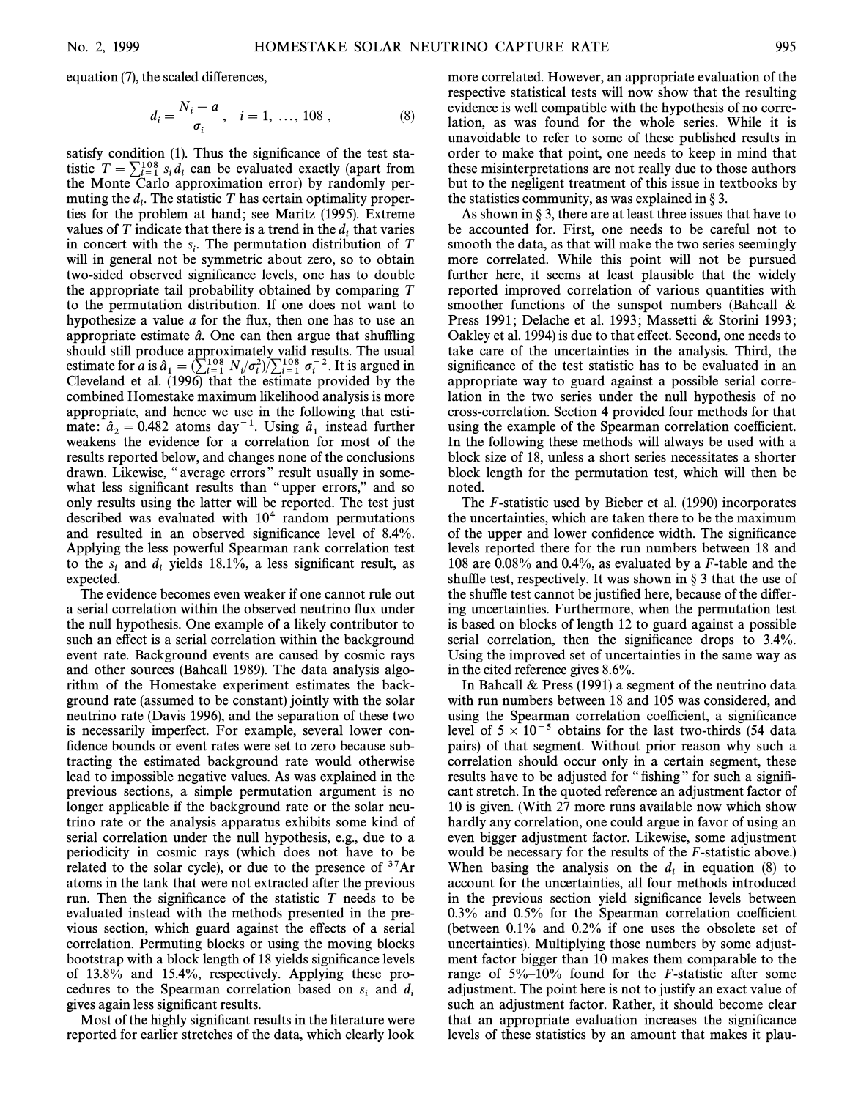equation  $(7)$ , the scaled differences,

$$
d_i = \frac{N_i - a}{\sigma_i}, \quad i = 1, \dots, 108,
$$
 (8)

satisfy condition  $(1)$ . Thus the significance of the test statistic  $T = \sum_{i=1}^{108} s_i d_i$  can be evaluated exactly (apart from the Monte Carlo approximation error) by randomly perthe Monte Carlo approximation error) by randomly permuting the  $d_i$ . The statistic T has certain optimality proper-<br>ties for the problem at hand: see Maritz (1995). Extreme ties for the problem at hand; see Maritz (1995). Extreme values of T indicate that there is a trend in the  $d_i$  that varies in concert with the  $s_i$ . The permutation distribution of T<br>will in general not be symmetric about zero, so to obtain will in general not be symmetric about zero, so to obtain two-sided observed significance levels, one has to double the appropriate tail probability obtained by comparing T to the permutation distribution. If one does not want to hypothesize a value  $a$  for the flux, then one has to use an appropriate estimate  $\hat{a}$ . One can then argue that shuffling should still produce approximately valid results. The usual estimate for a is  $\hat{a}_1 = \left(\sum_{i=1}^{108} N_i / \sigma_i^2\right) / \sum_{i=1}^{108} \sigma_i^{-2}$ . It is argued in Claveland et al. (1006) that the estimate provided by the Cleveland et al. (1996) that the estimate provided by the combined Homestake maximum likelihood analysis is more appropriate, and hence we use in the following that estimate:  $\hat{a}_2 = 0.482$  atoms day<sup>-1</sup>. Using  $\hat{a}_1$  instead further weakens the evidence for a correlation for most of the results reported below, and changes none of the conclusions drawn. Likewise, "average errors" result usually in somewhat less significant results than "upper errors," and so only results using the latter will be reported. The test just described was evaluated with  $10<sup>4</sup>$  random permutations and resulted in an observed significance level of 8.4%. Applying the less powerful Spearman rank correlation test to the  $s_i$  and  $d_i$  yields 18.1%, a less significant result, as expected expected.

The evidence becomes even weaker if one cannot rule out a serial correlation within the observed neutrino flux under the null hypothesis. One example of a likely contributor to such an effect is a serial correlation within the background event rate. Background events are caused by cosmic rays and other sources (Bahcall 1989). The data analysis algorithm of the Homestake experiment estimates the background rate (assumed to be constant) jointly with the solar neutrino rate (Davis 1996), and the separation of these two is necessarily imperfect. For example, several lower confidence bounds or event rates were set to zero because subtracting the estimated background rate would otherwise lead to impossible negative values. As was explained in the previous sections, a simple permutation argument is no longer applicable if the background rate or the solar neutrino rate or the analysis apparatus exhibits some kind of serial correlation under the null hypothesis, e.g., due to a periodicity in cosmic rays (which does not have to be related to the solar cycle), or due to the presence of  $37Ar$ atoms in the tank that were not extracted after the previous run. Then the significance of the statistic  $T$  needs to be evaluated instead with the methods presented in the previous section, which guard against the e†ects of a serial correlation. Permuting blocks or using the moving blocks bootstrap with a block length of 18 yields significance levels of 13.8% and 15.4%, respectively. Applying these procedures to the Spearman correlation based on  $s_i$  and d<br>gives again less significant results gives again less significant results.

Most of the highly significant results in the literature were reported for earlier stretches of the data, which clearly look more correlated. However, an appropriate evaluation of the respective statistical tests will now show that the resulting evidence is well compatible with the hypothesis of no correlation, as was found for the whole series. While it is unavoidable to refer to some of these published results in order to make that point, one needs to keep in mind that these misinterpretations are not really due to those authors but to the negligent treatment of this issue in textbooks by the statistics community, as was explained in  $\S 3$ .

As shown in  $\S 3$ , there are at least three issues that have to be accounted for. First, one needs to be careful not to smooth the data, as that will make the two series seemingly more correlated. While this point will not be pursued further here, it seems at least plausible that the widely reported improved correlation of various quantities with smoother functions of the sunspot numbers (Bahcall & Press 1991; Delache et al. 1993; Massetti & Storini 1993; Oakley et al. 1994) is due to that effect. Second, one needs to take care of the uncertainties in the analysis. Third, the significance of the test statistic has to be evaluated in an appropriate way to guard against a possible serial correlation in the two series under the null hypothesis of no cross-correlation. Section 4 provided four methods for that using the example of the Spearman correlation coefficient. In the following these methods will always be used with a block size of 18, unless a short series necessitates a shorter block length for the permutation test, which will then be noted.

The F-statistic used by Bieber et al. (1990) incorporates the uncertainties, which are taken there to be the maximum of the upper and lower confidence width. The significance levels reported there for the run numbers between 18 and 108 are 0.08% and 0.4%, as evaluated by a F-table and the shuffle test, respectively. It was shown in  $\S$  3 that the use of the shuffle test cannot be justified here, because of the differing uncertainties. Furthermore, when the permutation test is based on blocks of length 12 to guard against a possible serial correlation, then the significance drops to  $3.4\%$ . Using the improved set of uncertainties in the same way as in the cited reference gives 8.6%.

In Bahcall & Press (1991) a segment of the neutrino data with run numbers between 18 and 105 was considered, and using the Spearman correlation coefficient, a significance level of  $5 \times 10^{-5}$  obtains for the last two-thirds (54 data pairs) of that segment. Without prior reason why such a correlation should occur only in a certain segment, these results have to be adjusted for "fishing" for such a significant stretch. In the quoted reference an adjustment factor of 10 is given. (With 27 more runs available now which show hardly any correlation, one could argue in favor of using an even bigger adjustment factor. Likewise, some adjustment would be necessary for the results of the *F*-statistic above.) When basing the analysis on the  $d_i$  in equation (8) to account for the uncertainties, all four methods introduced in the previous section yield significance levels between 0.3% and 0.5% for the Spearman correlation coefficient (between 0.1% and 0.2% if one uses the obsolete set of uncertainties). Multiplying those numbers by some adjustment factor bigger than 10 makes them comparable to the range of  $5\%$ -10% found for the *F*-statistic after some adjustment. The point here is not to justify an exact value of such an adjustment factor. Rather, it should become clear that an appropriate evaluation increases the significance levels of these statistics by an amount that makes it plau